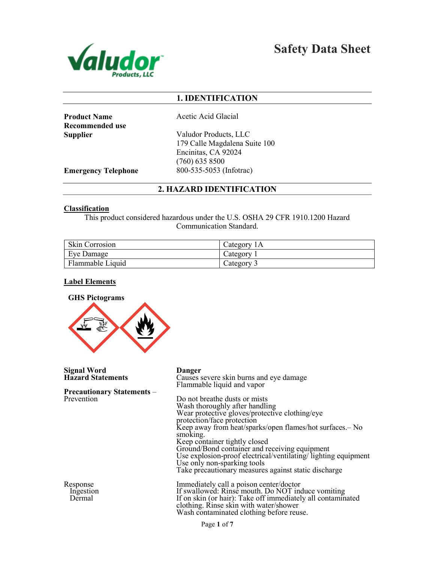

Safety Data Sheet

## 1. IDENTIFICATION

**Product Name** Acetic Acid Glacial Recommended use

Supplier Valudor Products, LLC 179 Calle Magdalena Suite 100 Encinitas, CA 92024 (760) 635 8500 **Emergency Telephone** 800-535-5053 (Infotrac)

## 2. HAZARD IDENTIFICATION

#### Classification

This product considered hazardous under the U.S. OSHA 29 CFR 1910.1200 Hazard Communication Standard.

| Skin Corrosion   | Category <sub>1</sub> A |
|------------------|-------------------------|
| Eye Damage       | Category                |
| Flammable Liquid | Category.               |

## Label Elements



Signal Word Danger Precautionary Statements – Prevention

Response Ingestion Dermal

Causes severe skin burns and eye damage Flammable liquid and vapor Do not breathe dusts or mists<br>Wash thoroughly after handling Wear protective gloves/protective clothing/eye protection/face protection Keep away from heat/sparks/open flames/hot surfaces.– No smoking. Keep container tightly closed Ground/Bond container and receiving equipment Use explosion-proof electrical/ventilating/ lighting equipment Use only non-sparking tools Take precautionary measures against static discharge Immediately call a poison center/doctor If swallowed: Rinse mouth. Do NOT induce vomiting If on skin (or hair): Take off immediately all contaminated

clothing. Rinse skin with water/shower Wash contaminated clothing before reuse.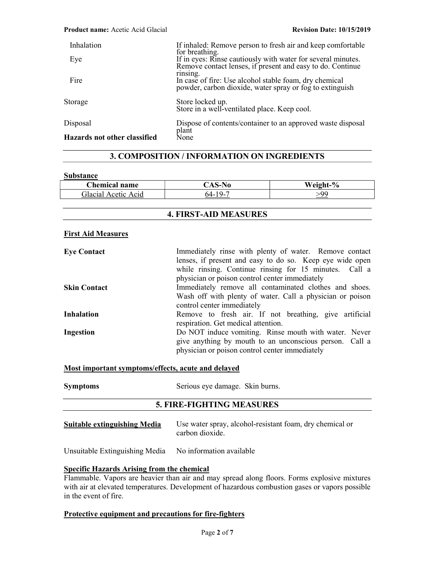| Inhalation                          | If inhaled: Remove person to fresh air and keep comfortable<br>for breathing.                                                  |
|-------------------------------------|--------------------------------------------------------------------------------------------------------------------------------|
| Eye                                 | If in eyes: Rinse cautiously with water for several minutes.<br>Remove contact lenses, if present and easy to do. Continue     |
| Fire                                | rinsing.<br>In case of fire: Use alcohol stable foam, dry chemical<br>powder, carbon dioxide, water spray or fog to extinguish |
| Storage                             | Store locked up.<br>Store in a well-ventilated place. Keep cool.                                                               |
| Disposal                            | Dispose of contents/container to an approved waste disposal<br>plant                                                           |
| <b>Hazards not other classified</b> | None                                                                                                                           |

## 3. COMPOSITION / INFORMATION ON INGREDIENTS

#### **Substance**

| <b>hemical name</b>              | $\mathbf{A} \mathbf{S}$ | Waight<br>70 |
|----------------------------------|-------------------------|--------------|
| <u>ilacial</u><br>Acid<br>Acetic | 74-                     | 0٥.          |

| <b>4. FIRST-AID MEASURES</b> |                                                                                                                                                                                                                                |  |
|------------------------------|--------------------------------------------------------------------------------------------------------------------------------------------------------------------------------------------------------------------------------|--|
| <b>First Aid Measures</b>    |                                                                                                                                                                                                                                |  |
| <b>Eye Contact</b>           | Immediately rinse with plenty of water. Remove contact<br>lenses, if present and easy to do so. Keep eye wide open<br>while rinsing. Continue rinsing for 15 minutes. Call a<br>physician or poison control center immediately |  |
| <b>Skin Contact</b>          | Immediately remove all contaminated clothes and shoes.<br>Wash off with plenty of water. Call a physician or poison<br>control center immediately                                                                              |  |
| <b>Inhalation</b>            | Remove to fresh air. If not breathing, give artificial<br>respiration. Get medical attention.                                                                                                                                  |  |
| Ingestion                    | Do NOT induce vomiting. Rinse mouth with water. Never<br>give anything by mouth to an unconscious person. Call a<br>physician or poison control center immediately                                                             |  |

## Most important symptoms/effects, acute and delayed

| <b>Symptoms</b> | Serious eye damage. Skin burns. |  |
|-----------------|---------------------------------|--|
|                 |                                 |  |

## 5. FIRE-FIGHTING MEASURES

| <b>Suitable extinguishing Media</b> | Use water spray, alcohol-resistant foam, dry chemical or |
|-------------------------------------|----------------------------------------------------------|
|                                     | carbon dioxide.                                          |

Unsuitable Extinguishing Media No information available

#### Specific Hazards Arising from the chemical

Flammable. Vapors are heavier than air and may spread along floors. Forms explosive mixtures with air at elevated temperatures. Development of hazardous combustion gases or vapors possible in the event of fire.

#### Protective equipment and precautions for fire-fighters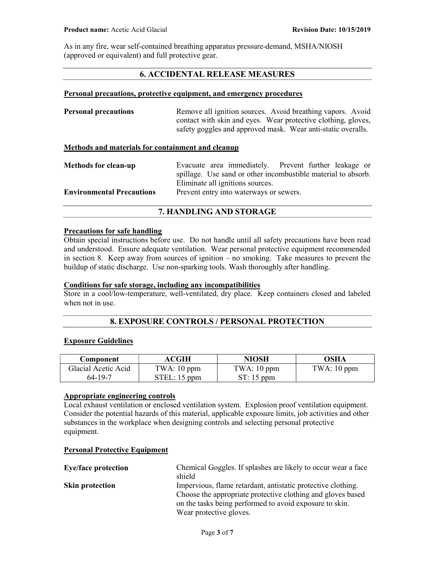As in any fire, wear self-contained breathing apparatus pressure-demand, MSHA/NIOSH (approved or equivalent) and full protective gear.

## 6. ACCIDENTAL RELEASE MEASURES

#### Personal precautions, protective equipment, and emergency procedures

| <b>Personal precautions</b> | Remove all ignition sources. Avoid breathing vapors. Avoid    |
|-----------------------------|---------------------------------------------------------------|
|                             | contact with skin and eyes. Wear protective clothing, gloves, |
|                             | safety goggles and approved mask. Wear anti-static overalls.  |

#### Methods and materials for containment and cleanup

| <b>Methods for clean-up</b>      | Evacuate area immediately. Prevent further leakage or         |
|----------------------------------|---------------------------------------------------------------|
|                                  | spillage. Use sand or other incombustible material to absorb. |
|                                  | Eliminate all ignitions sources.                              |
| <b>Environmental Precautions</b> | Prevent entry into waterways or sewers.                       |

## 7. HANDLING AND STORAGE

#### Precautions for safe handling

Obtain special instructions before use. Do not handle until all safety precautions have been read and understood. Ensure adequate ventilation. Wear personal protective equipment recommended in section 8. Keep away from sources of ignition – no smoking. Take measures to prevent the buildup of static discharge. Use non-sparking tools. Wash thoroughly after handling.

## Conditions for safe storage, including any incompatibilities

Store in a cool/low-temperature, well-ventilated, dry place. Keep containers closed and labeled when not in use.

## 8. EXPOSURE CONTROLS / PERSONAL PROTECTION

#### Exposure Guidelines

| Component           | ACGIH        | <b>NIOSH</b>  | OSHA          |
|---------------------|--------------|---------------|---------------|
| Glacial Acetic Acid | TWA: 10 ppm  | TWA: $10$ ppm | TWA: $10$ ppm |
| 64-19-7             | STEL: 15 ppm | $ST: 15$ ppm  |               |

## Appropriate engineering controls

Local exhaust ventilation or enclosed ventilation system. Explosion proof ventilation equipment. Consider the potential hazards of this material, applicable exposure limits, job activities and other substances in the workplace when designing controls and selecting personal protective equipment.

#### Personal Protective Equipment

| Chemical Goggles. If splashes are likely to occur wear a face |
|---------------------------------------------------------------|
| shield                                                        |
| Impervious, flame retardant, antistatic protective clothing.  |
| Choose the appropriate protective clothing and gloves based   |
| on the tasks being performed to avoid exposure to skin.       |
| Wear protective gloves.                                       |
|                                                               |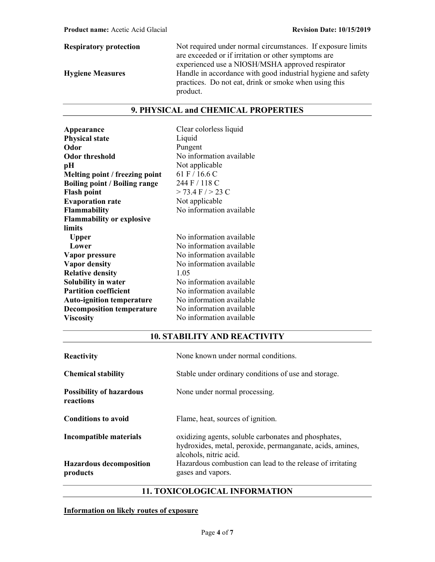Respiratory protection Not required under normal circumstances. If exposure limits are exceeded or if irritation or other symptoms are experienced use a NIOSH/MSHA approved respirator Hygiene Measures **Handle** in accordance with good industrial hygiene and safety practices. Do not eat, drink or smoke when using this product.

## 9. PHYSICAL and CHEMICAL PROPERTIES

| Appearance                           | Clear colorless liquid   |
|--------------------------------------|--------------------------|
| <b>Physical state</b>                | Liquid                   |
| Odor                                 | Pungent                  |
| Odor threshold                       | No information available |
| pН                                   | Not applicable           |
| Melting point / freezing point       | 61 F / 16.6 C            |
| <b>Boiling point / Boiling range</b> | 244 F / 118 C            |
| <b>Flash point</b>                   | $>$ 73.4 F $/$ > 23 C    |
| <b>Evaporation rate</b>              | Not applicable           |
| Flammability                         | No information available |
| <b>Flammability or explosive</b>     |                          |
| limits                               |                          |
| <b>Upper</b>                         | No information available |
| Lower                                | No information available |
| Vapor pressure                       | No information available |
| <b>Vapor density</b>                 | No information available |
| <b>Relative density</b>              | 1.05                     |
| <b>Solubility in water</b>           | No information available |
| <b>Partition coefficient</b>         | No information available |
| <b>Auto-ignition temperature</b>     | No information available |
| <b>Decomposition temperature</b>     | No information available |
| Viscosity                            | No information available |

# 10. STABILITY AND REACTIVITY

| None known under normal conditions.                                                                                                                                                                                            |
|--------------------------------------------------------------------------------------------------------------------------------------------------------------------------------------------------------------------------------|
| Stable under ordinary conditions of use and storage.                                                                                                                                                                           |
| None under normal processing.                                                                                                                                                                                                  |
| Flame, heat, sources of ignition.                                                                                                                                                                                              |
| oxidizing agents, soluble carbonates and phosphates,<br>hydroxides, metal, peroxide, permanganate, acids, amines,<br>alcohols, nitric acid.<br>Hazardous combustion can lead to the release of irritating<br>gases and vapors. |
|                                                                                                                                                                                                                                |

## 11. TOXICOLOGICAL INFORMATION

Information on likely routes of exposure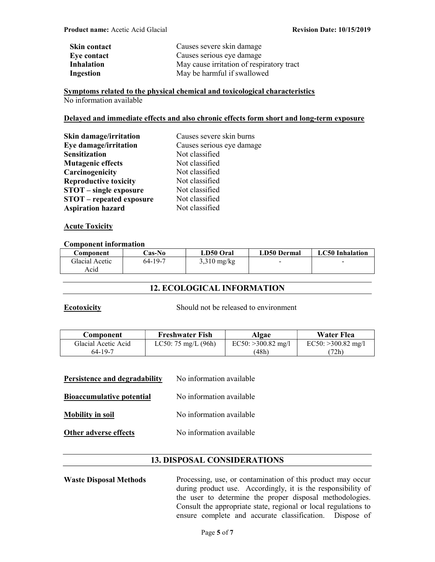| <b>Skin contact</b> | Causes severe skin damage                 |
|---------------------|-------------------------------------------|
| Eye contact         | Causes serious eye damage                 |
| <b>Inhalation</b>   | May cause irritation of respiratory tract |
| Ingestion           | May be harmful if swallowed               |

Symptoms related to the physical chemical and toxicological characteristics No information available

#### Delayed and immediate effects and also chronic effects form short and long-term exposure

| Skin damage/irritation          | Causes severe skin burns  |
|---------------------------------|---------------------------|
| Eye damage/irritation           | Causes serious eye damage |
| Sensitization                   | Not classified            |
| <b>Mutagenic effects</b>        | Not classified            |
| Carcinogenicity                 | Not classified            |
| <b>Reproductive toxicity</b>    | Not classified            |
| <b>STOT</b> – single exposure   | Not classified            |
| <b>STOT</b> – repeated exposure | Not classified            |
| <b>Aspiration hazard</b>        | Not classified            |

#### **Acute Toxicity**

#### Component information

| Component      | <b>Cas-No</b> | LD50 Oral     | <b>LD50 Dermal</b>       | <b>LC50</b> Inhalation |
|----------------|---------------|---------------|--------------------------|------------------------|
| Glacial Acetic | 64-19-7       | $3,310$ mg/kg | $\overline{\phantom{a}}$ | -                      |
| Acid           |               |               |                          |                        |

## 12. ECOLOGICAL INFORMATION

Ecotoxicity Should not be released to environment

| <b>Component</b>    | <b>Freshwater Fish</b>        | Algae                | Water Flea           |
|---------------------|-------------------------------|----------------------|----------------------|
| Glacial Acetic Acid | LC50: $75 \text{ mg/L}$ (96h) | $EC50: >300.82$ mg/l | $EC50: >300.82$ mg/l |
| 64-19-7             |                               | (48h)                | (72h)                |

| Persistence and degradability    | No information available |
|----------------------------------|--------------------------|
| <b>Bioaccumulative potential</b> | No information available |
| <b>Mobility in soil</b>          | No information available |
| <b>Other adverse effects</b>     | No information available |

## 13. DISPOSAL CONSIDERATIONS

Waste Disposal Methods Processing, use, or contamination of this product may occur during product use. Accordingly, it is the responsibility of the user to determine the proper disposal methodologies. Consult the appropriate state, regional or local regulations to ensure complete and accurate classification. Dispose of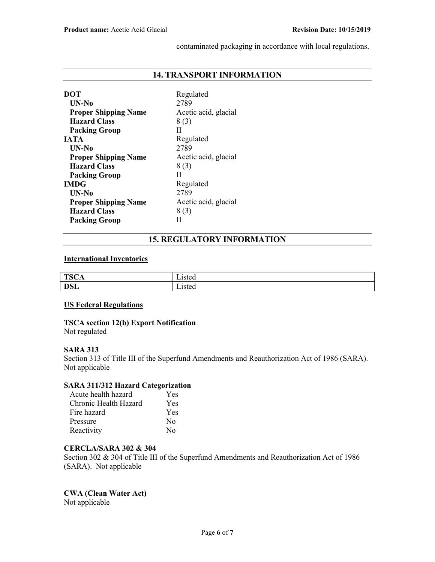contaminated packaging in accordance with local regulations.

## 14. TRANSPORT INFORMATION

| DOT                         | Regulated            |
|-----------------------------|----------------------|
| UN-No                       | 2789                 |
| <b>Proper Shipping Name</b> | Acetic acid, glacial |
| <b>Hazard Class</b>         | 8(3)                 |
| <b>Packing Group</b>        | Н                    |
| <b>JATA</b>                 | Regulated            |
| $UN-N0$                     | 2789                 |
| <b>Proper Shipping Name</b> | Acetic acid, glacial |
| <b>Hazard Class</b>         | 8(3)                 |
| <b>Packing Group</b>        | Н                    |
| <b>IMDG</b>                 | Regulated            |
| UN-No                       | 2789                 |
| <b>Proper Shipping Name</b> | Acetic acid, glacial |
| <b>Hazard Class</b>         | 8(3)                 |
| <b>Packing Group</b>        |                      |

## 15. REGULATORY INFORMATION

## International Inventories

| TCCA              | .1012 <sup>o</sup>        |
|-------------------|---------------------------|
| 10U1              | ⊿wu                       |
| DCL<br><b>DOL</b> | 10te $\epsilon$<br>Listeu |

#### US Federal Regulations

TSCA section 12(b) Export Notification Not regulated

## SARA 313

Section 313 of Title III of the Superfund Amendments and Reauthorization Act of 1986 (SARA). Not applicable

## SARA 311/312 Hazard Categorization

| Acute health hazard   | Yes              |
|-----------------------|------------------|
| Chronic Health Hazard | Yes              |
| Fire hazard           | Yes              |
| Pressure              | No               |
| Reactivity            | $\rm N_{\Omega}$ |

## CERCLA/SARA 302 & 304

Section 302 & 304 of Title III of the Superfund Amendments and Reauthorization Act of 1986 (SARA). Not applicable

CWA (Clean Water Act) Not applicable